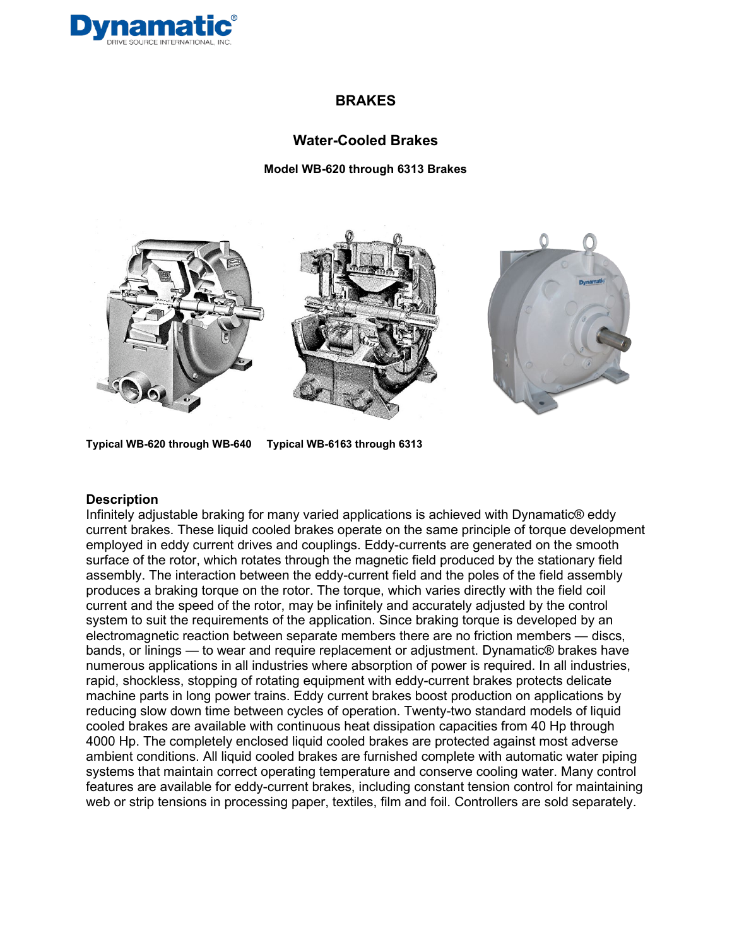

### **Water-Cooled Brakes**

**Model WB-620 through 6313 Brakes**



**Typical WB-620 through WB-640 Typical WB-6163 through 6313** 

#### **Description**

Infinitely adjustable braking for many varied applications is achieved with Dynamatic® eddy current brakes. These liquid cooled brakes operate on the same principle of torque development employed in eddy current drives and couplings. Eddy-currents are generated on the smooth surface of the rotor, which rotates through the magnetic field produced by the stationary field assembly. The interaction between the eddy-current field and the poles of the field assembly produces a braking torque on the rotor. The torque, which varies directly with the field coil current and the speed of the rotor, may be infinitely and accurately adjusted by the control system to suit the requirements of the application. Since braking torque is developed by an electromagnetic reaction between separate members there are no friction members — discs, bands, or linings — to wear and require replacement or adjustment. Dynamatic® brakes have numerous applications in all industries where absorption of power is required. In all industries, rapid, shockless, stopping of rotating equipment with eddy-current brakes protects delicate machine parts in long power trains. Eddy current brakes boost production on applications by reducing slow down time between cycles of operation. Twenty-two standard models of liquid cooled brakes are available with continuous heat dissipation capacities from 40 Hp through 4000 Hp. The completely enclosed liquid cooled brakes are protected against most adverse ambient conditions. All liquid cooled brakes are furnished complete with automatic water piping systems that maintain correct operating temperature and conserve cooling water. Many control features are available for eddy-current brakes, including constant tension control for maintaining web or strip tensions in processing paper, textiles, film and foil. Controllers are sold separately.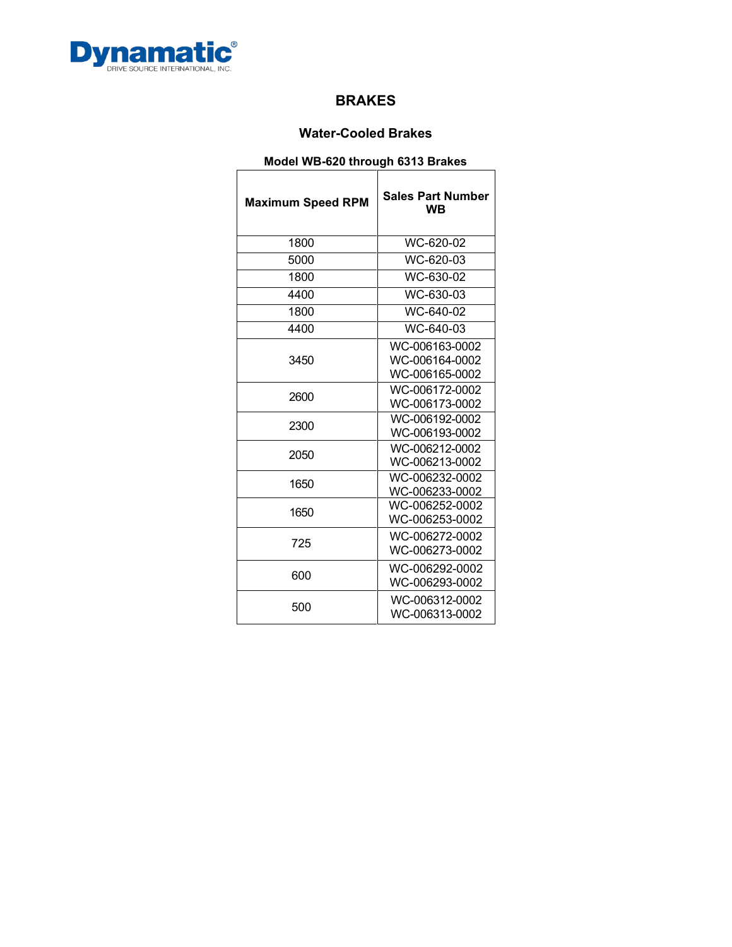

## **Water-Cooled Brakes**

## **Model WB-620 through 6313 Brakes**

| <b>Maximum Speed RPM</b> | <b>Sales Part Number</b><br>WВ                                                                                                                                                   |  |  |  |  |  |
|--------------------------|----------------------------------------------------------------------------------------------------------------------------------------------------------------------------------|--|--|--|--|--|
| 1800                     | WC-620-02                                                                                                                                                                        |  |  |  |  |  |
| 5000                     | WC-620-03                                                                                                                                                                        |  |  |  |  |  |
| 1800                     | WC-630-02                                                                                                                                                                        |  |  |  |  |  |
| 4400                     | WC-630-03                                                                                                                                                                        |  |  |  |  |  |
| 1800                     | WC-640-02                                                                                                                                                                        |  |  |  |  |  |
| 4400                     | WC-640-03                                                                                                                                                                        |  |  |  |  |  |
| 3450                     | WC-006163-0002<br>WC-006164-0002<br>WC-006165-0002                                                                                                                               |  |  |  |  |  |
| 2600                     | WC-006172-0002<br>WC-006173-0002<br>WC-006192-0002<br>WC-006193-0002<br>WC-006212-0002<br>WC-006213-0002<br>WC-006232-0002<br>WC-006233-0002<br>WC-006252-0002<br>WC-006253-0002 |  |  |  |  |  |
| 2300                     |                                                                                                                                                                                  |  |  |  |  |  |
| 2050                     |                                                                                                                                                                                  |  |  |  |  |  |
| 1650                     |                                                                                                                                                                                  |  |  |  |  |  |
| 1650                     |                                                                                                                                                                                  |  |  |  |  |  |
| 725                      | WC-006272-0002<br>WC-006273-0002                                                                                                                                                 |  |  |  |  |  |
| 600                      | WC-006292-0002<br>WC-006293-0002                                                                                                                                                 |  |  |  |  |  |
| 500                      | WC-006312-0002<br>WC-006313-0002                                                                                                                                                 |  |  |  |  |  |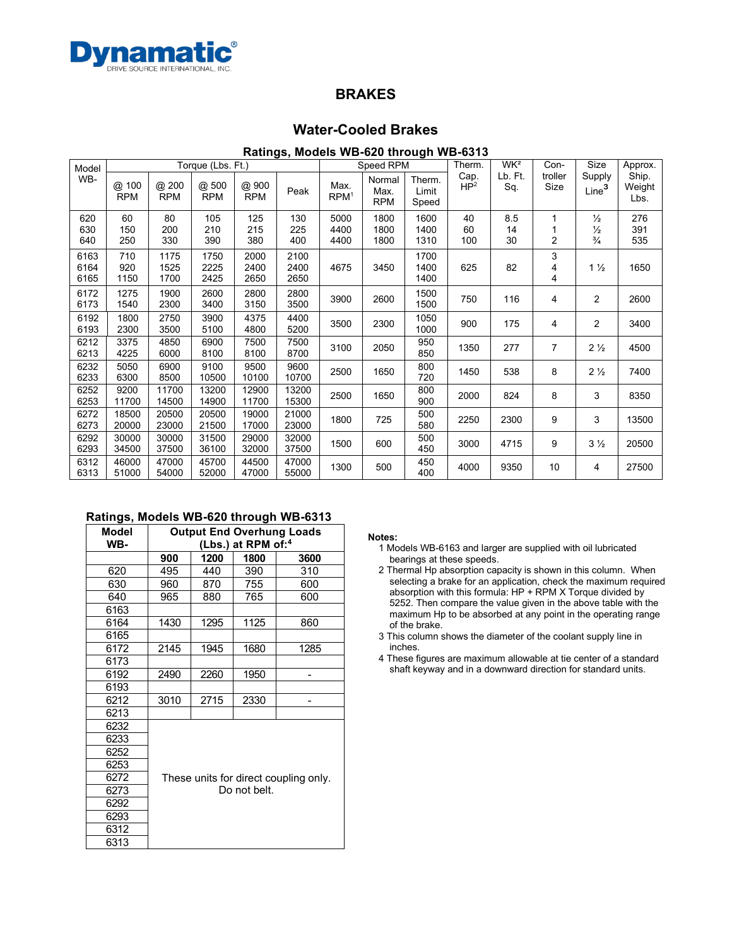

### **Water-Cooled Brakes**

### **Ratings, Models WB-620 through WB-6313**

| Model                | Torque (Lbs. Ft.)      |                      |                      |                      |                      | Speed RPM                |                              |                          | Therm.                  | WK <sup>2</sup> | Con-            | Size                                            | Approx.                 |
|----------------------|------------------------|----------------------|----------------------|----------------------|----------------------|--------------------------|------------------------------|--------------------------|-------------------------|-----------------|-----------------|-------------------------------------------------|-------------------------|
| WB-                  | @<br>100<br><b>RPM</b> | @ 200<br><b>RPM</b>  | @.500<br><b>RPM</b>  | @ 900<br><b>RPM</b>  | Peak                 | Max.<br>RPM <sup>1</sup> | Normal<br>Max.<br><b>RPM</b> | Therm.<br>Limit<br>Speed | Cap.<br>HP <sup>2</sup> | Lb. Ft.<br>Sq.  | troller<br>Size | Supply<br>Line <sup>3</sup>                     | Ship.<br>Weight<br>Lbs. |
| 620<br>630<br>640    | 60<br>150<br>250       | 80<br>200<br>330     | 105<br>210<br>390    | 125<br>215<br>380    | 130<br>225<br>400    | 5000<br>4400<br>4400     | 1800<br>1800<br>1800         | 1600<br>1400<br>1310     | 40<br>60<br>100         | 8.5<br>14<br>30 | $\overline{2}$  | $\frac{1}{2}$<br>$\frac{1}{2}$<br>$\frac{3}{4}$ | 276<br>391<br>535       |
| 6163<br>6164<br>6165 | 710<br>920<br>1150     | 1175<br>1525<br>1700 | 1750<br>2225<br>2425 | 2000<br>2400<br>2650 | 2100<br>2400<br>2650 | 4675                     | 3450                         | 1700<br>1400<br>1400     | 625                     | 82              | 3<br>4<br>4     | $1\frac{1}{2}$                                  | 1650                    |
| 6172<br>6173         | 1275<br>1540           | 1900<br>2300         | 2600<br>3400         | 2800<br>3150         | 2800<br>3500         | 3900                     | 2600                         | 1500<br>1500             | 750                     | 116             | 4               | 2                                               | 2600                    |
| 6192<br>6193         | 1800<br>2300           | 2750<br>3500         | 3900<br>5100         | 4375<br>4800         | 4400<br>5200         | 3500                     | 2300                         | 1050<br>1000             | 900                     | 175             | 4               | 2                                               | 3400                    |
| 6212<br>6213         | 3375<br>4225           | 4850<br>6000         | 6900<br>8100         | 7500<br>8100         | 7500<br>8700         | 3100                     | 2050                         | 950<br>850               | 1350                    | 277             | 7               | $2\frac{1}{2}$                                  | 4500                    |
| 6232<br>6233         | 5050<br>6300           | 6900<br>8500         | 9100<br>10500        | 9500<br>10100        | 9600<br>10700        | 2500                     | 1650                         | 800<br>720               | 1450                    | 538             | 8               | $2\frac{1}{2}$                                  | 7400                    |
| 6252<br>6253         | 9200<br>11700          | 11700<br>14500       | 13200<br>14900       | 12900<br>11700       | 13200<br>15300       | 2500                     | 1650                         | 800<br>900               | 2000                    | 824             | 8               | 3                                               | 8350                    |
| 6272<br>6273         | 18500<br>20000         | 20500<br>23000       | 20500<br>21500       | 19000<br>17000       | 21000<br>23000       | 1800                     | 725                          | 500<br>580               | 2250                    | 2300            | 9               | 3                                               | 13500                   |
| 6292<br>6293         | 30000<br>34500         | 30000<br>37500       | 31500<br>36100       | 29000<br>32000       | 32000<br>37500       | 1500                     | 600                          | 500<br>450               | 3000                    | 4715            | 9               | $3\frac{1}{2}$                                  | 20500                   |
| 6312<br>6313         | 46000<br>51000         | 47000<br>54000       | 45700<br>52000       | 44500<br>47000       | 47000<br>55000       | 1300                     | 500                          | 450<br>400               | 4000                    | 9350            | 10              | 4                                               | 27500                   |

### **Ratings, Models WB-620 through WB-6313**

| Model<br>WB- | <b>Output End Overhung Loads</b><br>(Lbs.) at RPM of: <sup>4</sup> |      |      |      |  |  |  |  |
|--------------|--------------------------------------------------------------------|------|------|------|--|--|--|--|
|              | 900                                                                | 1200 | 1800 | 3600 |  |  |  |  |
| 620          | 495                                                                | 440  | 390  | 310  |  |  |  |  |
| 630          | 960                                                                | 870  | 755  | 600  |  |  |  |  |
| 640          | 965                                                                | 880  | 765  | 600  |  |  |  |  |
| 6163         |                                                                    |      |      |      |  |  |  |  |
| 6164         | 1430                                                               | 1295 | 1125 | 860  |  |  |  |  |
| 6165         |                                                                    |      |      |      |  |  |  |  |
| 6172         | 2145                                                               | 1945 | 1680 | 1285 |  |  |  |  |
| 6173         |                                                                    |      |      |      |  |  |  |  |
| 6192         | 2490                                                               | 2260 | 1950 |      |  |  |  |  |
| 6193         |                                                                    |      |      |      |  |  |  |  |
| 6212         | 3010                                                               | 2715 | 2330 |      |  |  |  |  |
| 6213         |                                                                    |      |      |      |  |  |  |  |
| 6232         |                                                                    |      |      |      |  |  |  |  |
| 6233         |                                                                    |      |      |      |  |  |  |  |
| 6252         |                                                                    |      |      |      |  |  |  |  |
| 6253         | These units for direct coupling only.<br>Do not belt.              |      |      |      |  |  |  |  |
| 6272         |                                                                    |      |      |      |  |  |  |  |
| 6273         |                                                                    |      |      |      |  |  |  |  |
| 6292         |                                                                    |      |      |      |  |  |  |  |
| 6293         |                                                                    |      |      |      |  |  |  |  |
| 6312         |                                                                    |      |      |      |  |  |  |  |
| 6313         |                                                                    |      |      |      |  |  |  |  |

#### **Notes:**

- Models WB-6163 and larger are supplied with oil lubricated bearings at these speeds.
- Thermal Hp absorption capacity is shown in this column. When selecting a brake for an application, check the maximum required absorption with this formula: HP + RPM X Torque divided by 5252. Then compare the value given in the above table with the maximum Hp to be absorbed at any point in the operating range of the brake.
- This column shows the diameter of the coolant supply line in inches.
- These figures are maximum allowable at tie center of a standard shaft keyway and in a downward direction for standard units.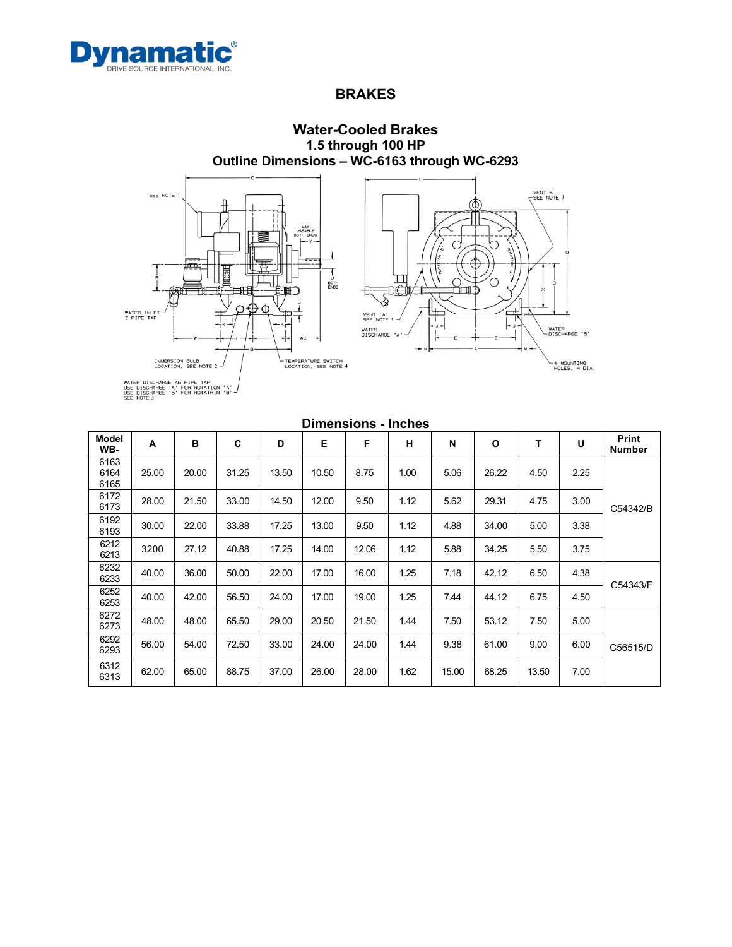



**Model WB- <sup>A</sup> <sup>B</sup> <sup>C</sup> <sup>D</sup> <sup>E</sup> <sup>F</sup> <sup>H</sup> <sup>N</sup> <sup>O</sup> <sup>T</sup> <sup>U</sup> Print Number** 6163 6164 6165 25.00 | 20.00 | 31.25 | 13.50 | 10.50 | 8.75 | 1.00 | 5.06 | 26.22 | 4.50 | 2.25 C54342/B 6172<br>6173 <sup>6173</sup> 28.00 21.50 33.00 14.50 12.00 9.50 1.12 5.62 29.31 4.75 3.00 6192<br>6193 <sup>6193</sup> 30.00 22.00 33.88 17.25 13.00 9.50 1.12 4.88 34.00 5.00 3.38 6212<br>6213 6212 3200 27.12 40.88 17.25 14.00 12.06 1.12 5.88 34.25 5.50 3.75 6232<br>6233 <sup>6233</sup> 40.00 36.00 50.00 22.00 17.00 16.00 1.25 7.18 42.12 6.50 4.38  $\frac{6252}{6252}$  40.00 42.00 56.50 24.00 42.00 4.000 4.25 7.44 44.12 6.75 4.50 6254343/F <sup>6253</sup> 40.00 42.00 56.50 24.00 17.00 19.00 1.25 7.44 44.12 6.75 4.50 6272  $6273$  | 48.00 | 48.00 | 65.50 | 29.00 | 20.50 | 21.50 | 1.44 | 7.50 | 53.12 | 7.50 | 5.00 C56515/D 6292<br>6293 <sup>6293</sup> 56.00 54.00 72.50 33.00 24.00 24.00 1.44 9.38 61.00 9.00 6.00 6312<br>6313  $\frac{6312}{6313}$  | 62.00 | 65.00 | 88.75 | 37.00 | 26.00 | 28.00 | 1.62 | 15.00 | 68.25 | 13.50 | 7.00

### **Dimensions - Inches**